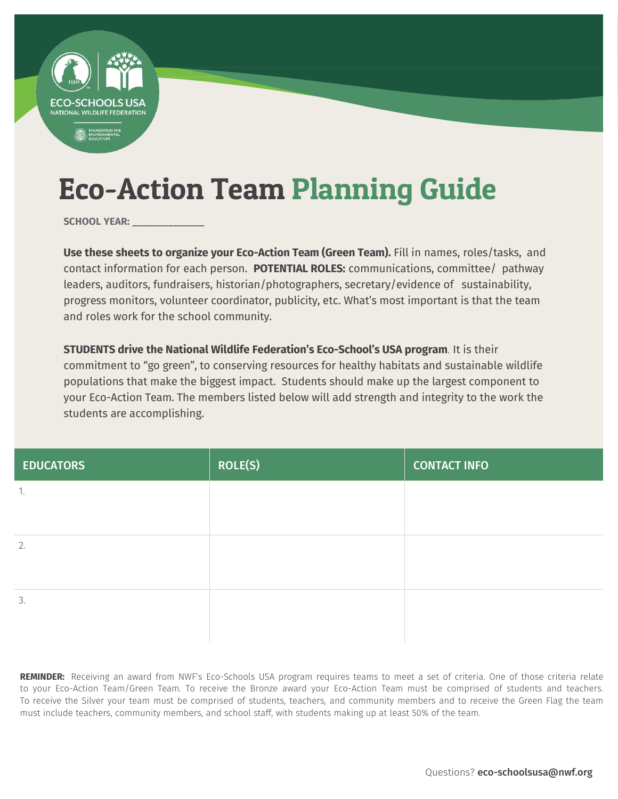

SCHOOL YEAR:

**Use these sheets to organize your Eco-Action Team (Green Team).** Fill in names, roles/tasks, and contact information for each person. **POTENTIAL ROLES:** communications, committee/ pathway leaders, auditors, fundraisers, historian/photographers, secretary/evidence of sustainability, progress monitors, volunteer coordinator, publicity, etc. What's most important is that the team and roles work for the school community.

**STUDENTS drive the National Wildlife Federation's Eco-School's USA program**. It is their commitment to "go green", to conserving resources for healthy habitats and sustainable wildlife populations that make the biggest impact. Students should make up the largest component to your Eco-Action Team. The members listed below will add strength and integrity to the work the students are accomplishing.

| <b>EDUCATORS</b> | <b>ROLE(S)</b> | <b>CONTACT INFO</b> |
|------------------|----------------|---------------------|
| 1.               |                |                     |
|                  |                |                     |
| 2.               |                |                     |
|                  |                |                     |
| 3.               |                |                     |
|                  |                |                     |

**REMINDER:** Receiving an award from NWF's Eco-Schools USA program requires teams to meet a set of criteria. One of those criteria relate to your Eco-Action Team/Green Team. To receive the Bronze award your Eco-Action Team must be comprised of students and teachers. To receive the Silver your team must be comprised of students, teachers, and community members and to receive the Green Flag the team must include teachers, community members, and school staff, with students making up at least 50% of the team.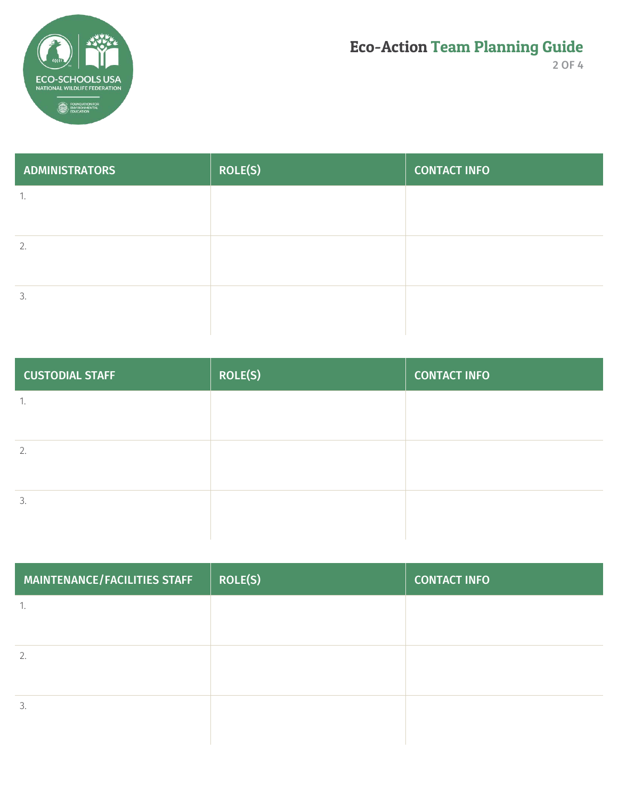

2 OF 4

| <b>ADMINISTRATORS</b> | <b>ROLE(S)</b> | <b>CONTACT INFO</b> |
|-----------------------|----------------|---------------------|
| 1.                    |                |                     |
|                       |                |                     |
| 2.                    |                |                     |
|                       |                |                     |
| 3.                    |                |                     |
|                       |                |                     |

| <b>CUSTODIAL STAFF</b> | <b>ROLE(S)</b> | <b>CONTACT INFO</b> |
|------------------------|----------------|---------------------|
| 1.                     |                |                     |
|                        |                |                     |
| 2.                     |                |                     |
|                        |                |                     |
| 3.                     |                |                     |
|                        |                |                     |

| <b>ROLE(S)</b> | <b>CONTACT INFO</b> |
|----------------|---------------------|
|                |                     |
|                |                     |
|                |                     |
|                |                     |
|                |                     |
|                |                     |
|                |                     |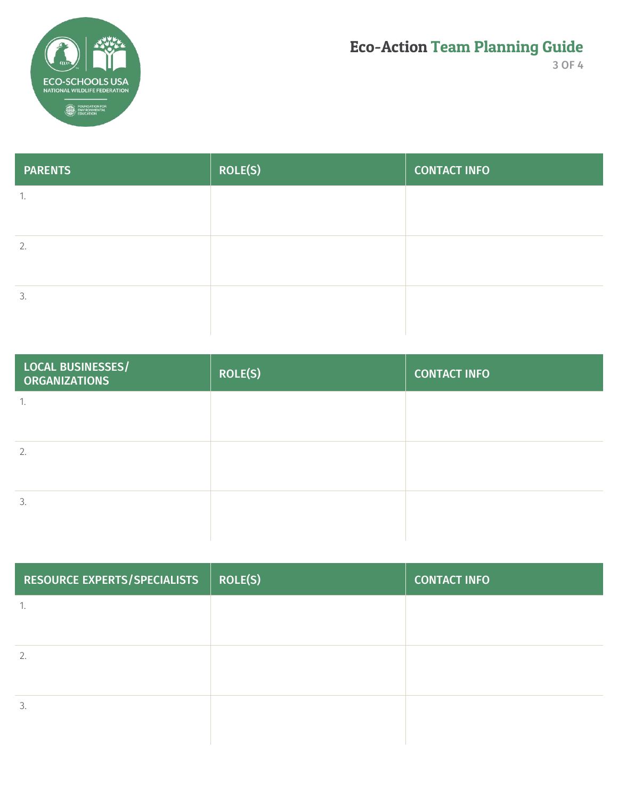

3 OF 4

| <b>PARENTS</b>       | <b>ROLE(S)</b> | <b>CONTACT INFO</b> |
|----------------------|----------------|---------------------|
| $\overline{1}$<br>Ι. |                |                     |
|                      |                |                     |
| 2.                   |                |                     |
|                      |                |                     |
| 3.                   |                |                     |
|                      |                |                     |

| <b>LOCAL BUSINESSES/</b><br><b>ORGANIZATIONS</b> | <b>ROLE(S)</b> | <b>CONTACT INFO</b> |
|--------------------------------------------------|----------------|---------------------|
| -1.                                              |                |                     |
| 2.                                               |                |                     |
|                                                  |                |                     |
| 3.                                               |                |                     |